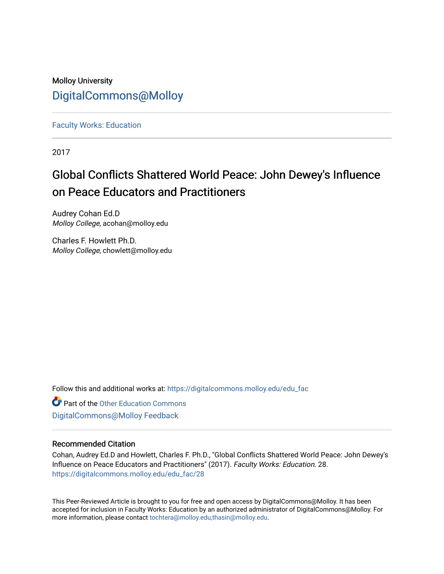## Molloy University [DigitalCommons@Molloy](https://digitalcommons.molloy.edu/)

[Faculty Works: Education](https://digitalcommons.molloy.edu/edu_fac) 

2017

# Global Conflicts Shattered World Peace: John Dewey's Influence on Peace Educators and Practitioners

Audrey Cohan Ed.D Molloy College, acohan@molloy.edu

Charles F. Howlett Ph.D. Molloy College, chowlett@molloy.edu

Follow this and additional works at: [https://digitalcommons.molloy.edu/edu\\_fac](https://digitalcommons.molloy.edu/edu_fac?utm_source=digitalcommons.molloy.edu%2Fedu_fac%2F28&utm_medium=PDF&utm_campaign=PDFCoverPages)

**Part of the Other Education Commons** [DigitalCommons@Molloy Feedback](https://molloy.libwizard.com/f/dcfeedback)

#### Recommended Citation

Cohan, Audrey Ed.D and Howlett, Charles F. Ph.D., "Global Conflicts Shattered World Peace: John Dewey's Influence on Peace Educators and Practitioners" (2017). Faculty Works: Education. 28. [https://digitalcommons.molloy.edu/edu\\_fac/28](https://digitalcommons.molloy.edu/edu_fac/28?utm_source=digitalcommons.molloy.edu%2Fedu_fac%2F28&utm_medium=PDF&utm_campaign=PDFCoverPages) 

This Peer-Reviewed Article is brought to you for free and open access by DigitalCommons@Molloy. It has been accepted for inclusion in Faculty Works: Education by an authorized administrator of DigitalCommons@Molloy. For more information, please contact [tochtera@molloy.edu,thasin@molloy.edu.](mailto:tochtera@molloy.edu,thasin@molloy.edu)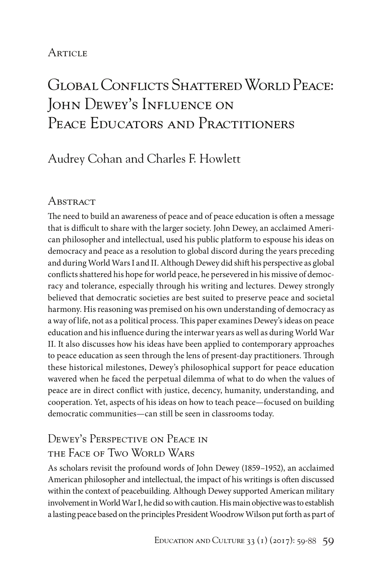## **ARTICLE**

# Global Conflicts Shattered World Peace: JOHN DEWEY'S INFLUENCE ON PEACE EDUCATORS AND PRACTITIONERS

## Audrey Cohan and Charles F. Howlett

## **ABSTRACT**

The need to build an awareness of peace and of peace education is often a message that is difficult to share with the larger society. John Dewey, an acclaimed American philosopher and intellectual, used his public platform to espouse his ideas on democracy and peace as a resolution to global discord during the years preceding and during World Wars I and II. Although Dewey did shift his perspective as global conflicts shattered his hope for world peace, he persevered in his missive of democracy and tolerance, especially through his writing and lectures. Dewey strongly believed that democratic societies are best suited to preserve peace and societal harmony. His reasoning was premised on his own understanding of democracy as a way of life, not as a political process. This paper examines Dewey's ideas on peace education and his influence during the interwar years as well as during World War II. It also discusses how his ideas have been applied to contemporary approaches to peace education as seen through the lens of present-day practitioners. Through these historical milestones, Dewey's philosophical support for peace education wavered when he faced the perpetual dilemma of what to do when the values of peace are in direct conflict with justice, decency, humanity, understanding, and cooperation. Yet, aspects of his ideas on how to teach peace—focused on building democratic communities—can still be seen in classrooms today.

## Dewey's Perspective on Peace in the Face of Two World Wars

As scholars revisit the profound words of John Dewey (1859–1952), an acclaimed American philosopher and intellectual, the impact of his writings is often discussed within the context of peacebuilding. Although Dewey supported American military involvement in World War I, he did so with caution. His main objective was to establish a lasting peace based on the principles President Woodrow Wilson put forth as part of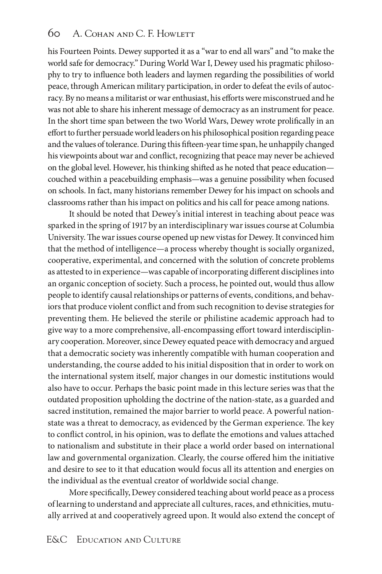his Fourteen Points. Dewey supported it as a "war to end all wars" and "to make the world safe for democracy." During World War I, Dewey used his pragmatic philosophy to try to influence both leaders and laymen regarding the possibilities of world peace, through American military participation, in order to defeat the evils of autocracy. By no means a militarist or war enthusiast, his efforts were misconstrued and he was not able to share his inherent message of democracy as an instrument for peace. In the short time span between the two World Wars, Dewey wrote prolifically in an effort to further persuade world leaders on his philosophical position regarding peace and the values of tolerance. During this fifteen-year time span, he unhappily changed his viewpoints about war and conflict, recognizing that peace may never be achieved on the global level. However, his thinking shifted as he noted that peace education couched within a peacebuilding emphasis—was a genuine possibility when focused on schools. In fact, many historians remember Dewey for his impact on schools and classrooms rather than his impact on politics and his call for peace among nations.

It should be noted that Dewey's initial interest in teaching about peace was sparked in the spring of 1917 by an interdisciplinary war issues course at Columbia University. The war issues course opened up new vistas for Dewey. It convinced him that the method of intelligence—a process whereby thought is socially organized, cooperative, experimental, and concerned with the solution of concrete problems as attested to in experience—was capable of incorporating different disciplines into an organic conception of society. Such a process, he pointed out, would thus allow people to identify causal relationships or patterns of events, conditions, and behaviors that produce violent conflict and from such recognition to devise strategies for preventing them. He believed the sterile or philistine academic approach had to give way to a more comprehensive, all-encompassing effort toward interdisciplinary cooperation. Moreover, since Dewey equated peace with democracy and argued that a democratic society was inherently compatible with human cooperation and understanding, the course added to his initial disposition that in order to work on the international system itself, major changes in our domestic institutions would also have to occur. Perhaps the basic point made in this lecture series was that the outdated proposition upholding the doctrine of the nation-state, as a guarded and sacred institution, remained the major barrier to world peace. A powerful nationstate was a threat to democracy, as evidenced by the German experience. The key to conflict control, in his opinion, was to deflate the emotions and values attached to nationalism and substitute in their place a world order based on international law and governmental organization. Clearly, the course offered him the initiative and desire to see to it that education would focus all its attention and energies on the individual as the eventual creator of worldwide social change.

More specifically, Dewey considered teaching about world peace as a process of learning to understand and appreciate all cultures, races, and ethnicities, mutually arrived at and cooperatively agreed upon. It would also extend the concept of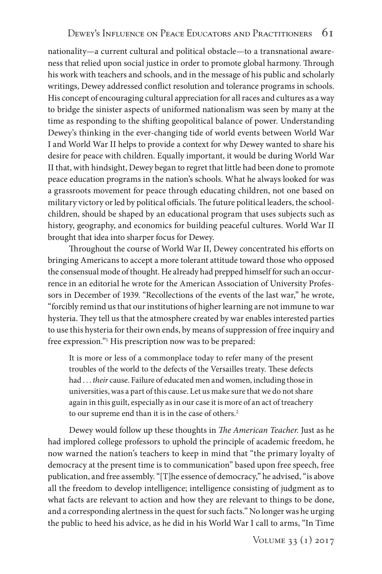nationality—a current cultural and political obstacle—to a transnational awareness that relied upon social justice in order to promote global harmony. Through his work with teachers and schools, and in the message of his public and scholarly writings, Dewey addressed conflict resolution and tolerance programs in schools. His concept of encouraging cultural appreciation for all races and cultures as a way to bridge the sinister aspects of uniformed nationalism was seen by many at the time as responding to the shifting geopolitical balance of power. Understanding Dewey's thinking in the ever-changing tide of world events between World War I and World War II helps to provide a context for why Dewey wanted to share his desire for peace with children. Equally important, it would be during World War II that, with hindsight, Dewey began to regret that little had been done to promote peace education programs in the nation's schools. What he always looked for was a grassroots movement for peace through educating children, not one based on military victory or led by political officials. The future political leaders, the schoolchildren, should be shaped by an educational program that uses subjects such as history, geography, and economics for building peaceful cultures. World War II brought that idea into sharper focus for Dewey.

Throughout the course of World War II, Dewey concentrated his efforts on bringing Americans to accept a more tolerant attitude toward those who opposed the consensual mode of thought. He already had prepped himself for such an occurrence in an editorial he wrote for the American Association of University Professors in December of 1939. "Recollections of the events of the last war," he wrote, "forcibly remind us that our institutions of higher learning are not immune to war hysteria. They tell us that the atmosphere created by war enables interested parties to use this hysteria for their own ends, by means of suppression of free inquiry and free expression."1 His prescription now was to be prepared:

It is more or less of a commonplace today to refer many of the present troubles of the world to the defects of the Versailles treaty. These defects had . . . *their* cause. Failure of educated men and women, including those in universities, was a part of this cause. Let us make sure that we do not share again in this guilt, especially as in our case it is more of an act of treachery to our supreme end than it is in the case of others.<sup>2</sup>

Dewey would follow up these thoughts in *The American Teacher.* Just as he had implored college professors to uphold the principle of academic freedom, he now warned the nation's teachers to keep in mind that "the primary loyalty of democracy at the present time is to communication" based upon free speech, free publication, and free assembly. "[T]he essence of democracy," he advised, "is above all the freedom to develop intelligence; intelligence consisting of judgment as to what facts are relevant to action and how they are relevant to things to be done, and a corresponding alertness in the quest for such facts." No longer was he urging the public to heed his advice, as he did in his World War I call to arms, "In Time

Volume 33 (1) 2017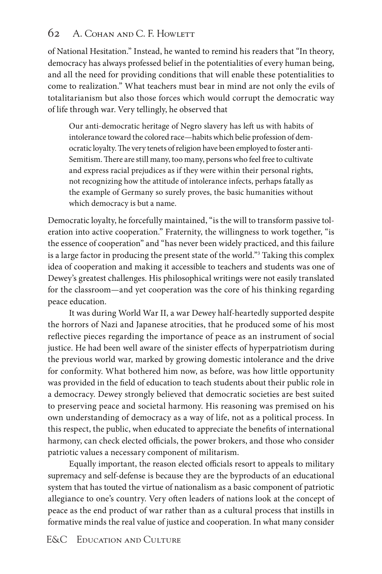## 62 A. Cohan and C. F. Howlett

of National Hesitation." Instead, he wanted to remind his readers that "In theory, democracy has always professed belief in the potentialities of every human being, and all the need for providing conditions that will enable these potentialities to come to realization." What teachers must bear in mind are not only the evils of totalitarianism but also those forces which would corrupt the democratic way of life through war. Very tellingly, he observed that

Our anti-democratic heritage of Negro slavery has left us with habits of intolerance toward the colored race—habits which belie profession of democratic loyalty. The very tenets of religion have been employed to foster anti-Semitism. There are still many, too many, persons who feel free to cultivate and express racial prejudices as if they were within their personal rights, not recognizing how the attitude of intolerance infects, perhaps fatally as the example of Germany so surely proves, the basic humanities without which democracy is but a name.

Democratic loyalty, he forcefully maintained, "is the will to transform passive toleration into active cooperation." Fraternity, the willingness to work together, "is the essence of cooperation" and "has never been widely practiced, and this failure is a large factor in producing the present state of the world."3 Taking this complex idea of cooperation and making it accessible to teachers and students was one of Dewey's greatest challenges. His philosophical writings were not easily translated for the classroom—and yet cooperation was the core of his thinking regarding peace education.

It was during World War II, a war Dewey half-heartedly supported despite the horrors of Nazi and Japanese atrocities, that he produced some of his most reflective pieces regarding the importance of peace as an instrument of social justice. He had been well aware of the sinister effects of hyperpatriotism during the previous world war, marked by growing domestic intolerance and the drive for conformity. What bothered him now, as before, was how little opportunity was provided in the field of education to teach students about their public role in a democracy. Dewey strongly believed that democratic societies are best suited to preserving peace and societal harmony. His reasoning was premised on his own understanding of democracy as a way of life, not as a political process. In this respect, the public, when educated to appreciate the benefits of international harmony, can check elected officials, the power brokers, and those who consider patriotic values a necessary component of militarism.

Equally important, the reason elected officials resort to appeals to military supremacy and self-defense is because they are the byproducts of an educational system that has touted the virtue of nationalism as a basic component of patriotic allegiance to one's country. Very often leaders of nations look at the concept of peace as the end product of war rather than as a cultural process that instills in formative minds the real value of justice and cooperation. In what many consider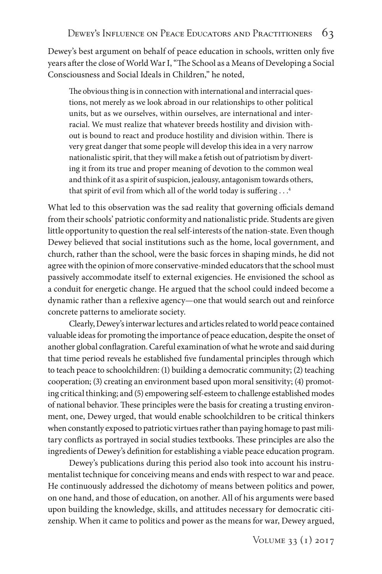Dewey's best argument on behalf of peace education in schools, written only five years after the close of World War I, "The School as a Means of Developing a Social Consciousness and Social Ideals in Children," he noted,

The obvious thing is in connection with international and interracial questions, not merely as we look abroad in our relationships to other political units, but as we ourselves, within ourselves, are international and interracial. We must realize that whatever breeds hostility and division without is bound to react and produce hostility and division within. There is very great danger that some people will develop this idea in a very narrow nationalistic spirit, that they will make a fetish out of patriotism by diverting it from its true and proper meaning of devotion to the common weal and think of it as a spirit of suspicion, jealousy, antagonism towards others, that spirit of evil from which all of the world today is suffering . . .<sup>4</sup>

What led to this observation was the sad reality that governing officials demand from their schools' patriotic conformity and nationalistic pride. Students are given little opportunity to question the real self-interests of the nation-state. Even though Dewey believed that social institutions such as the home, local government, and church, rather than the school, were the basic forces in shaping minds, he did not agree with the opinion of more conservative-minded educators that the school must passively accommodate itself to external exigencies. He envisioned the school as a conduit for energetic change. He argued that the school could indeed become a dynamic rather than a reflexive agency—one that would search out and reinforce concrete patterns to ameliorate society.

Clearly, Dewey's interwar lectures and articles related to world peace contained valuable ideas for promoting the importance of peace education, despite the onset of another global conflagration. Careful examination of what he wrote and said during that time period reveals he established five fundamental principles through which to teach peace to schoolchildren: (1) building a democratic community; (2) teaching cooperation; (3) creating an environment based upon moral sensitivity; (4) promoting critical thinking; and (5) empowering self-esteem to challenge established modes of national behavior. These principles were the basis for creating a trusting environment, one, Dewey urged, that would enable schoolchildren to be critical thinkers when constantly exposed to patriotic virtues rather than paying homage to past military conflicts as portrayed in social studies textbooks. These principles are also the ingredients of Dewey's definition for establishing a viable peace education program.

Dewey's publications during this period also took into account his instrumentalist technique for conceiving means and ends with respect to war and peace. He continuously addressed the dichotomy of means between politics and power, on one hand, and those of education, on another. All of his arguments were based upon building the knowledge, skills, and attitudes necessary for democratic citizenship. When it came to politics and power as the means for war, Dewey argued,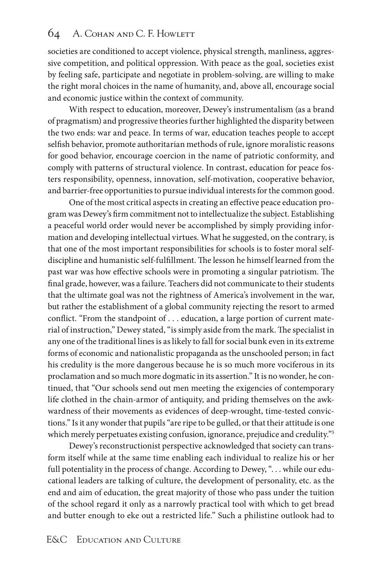#### 64 A. COHAN AND C. F. HOWLETT

societies are conditioned to accept violence, physical strength, manliness, aggressive competition, and political oppression. With peace as the goal, societies exist by feeling safe, participate and negotiate in problem-solving, are willing to make the right moral choices in the name of humanity, and, above all, encourage social and economic justice within the context of community.

With respect to education, moreover, Dewey's instrumentalism (as a brand of pragmatism) and progressive theories further highlighted the disparity between the two ends: war and peace. In terms of war, education teaches people to accept selfish behavior, promote authoritarian methods of rule, ignore moralistic reasons for good behavior, encourage coercion in the name of patriotic conformity, and comply with patterns of structural violence. In contrast, education for peace fosters responsibility, openness, innovation, self-motivation, cooperative behavior, and barrier-free opportunities to pursue individual interests for the common good.

One of the most critical aspects in creating an effective peace education program was Dewey's firm commitment not to intellectualize the subject. Establishing a peaceful world order would never be accomplished by simply providing information and developing intellectual virtues. What he suggested, on the contrary, is that one of the most important responsibilities for schools is to foster moral selfdiscipline and humanistic self-fulfillment. The lesson he himself learned from the past war was how effective schools were in promoting a singular patriotism. The final grade, however, was a failure. Teachers did not communicate to their students that the ultimate goal was not the rightness of America's involvement in the war, but rather the establishment of a global community rejecting the resort to armed conflict. "From the standpoint of . . . education, a large portion of current material of instruction," Dewey stated, "is simply aside from the mark. The specialist in any one of the traditional lines is as likely to fall for social bunk even in its extreme forms of economic and nationalistic propaganda as the unschooled person; in fact his credulity is the more dangerous because he is so much more vociferous in its proclamation and so much more dogmatic in its assertion." It is no wonder, he continued, that "Our schools send out men meeting the exigencies of contemporary life clothed in the chain-armor of antiquity, and priding themselves on the awkwardness of their movements as evidences of deep-wrought, time-tested convictions." Is it any wonder that pupils "are ripe to be gulled, or that their attitude is one which merely perpetuates existing confusion, ignorance, prejudice and credulity."<sup>5</sup>

Dewey's reconstructionist perspective acknowledged that society can transform itself while at the same time enabling each individual to realize his or her full potentiality in the process of change. According to Dewey, ". . . while our educational leaders are talking of culture, the development of personality, etc. as the end and aim of education, the great majority of those who pass under the tuition of the school regard it only as a narrowly practical tool with which to get bread and butter enough to eke out a restricted life." Such a philistine outlook had to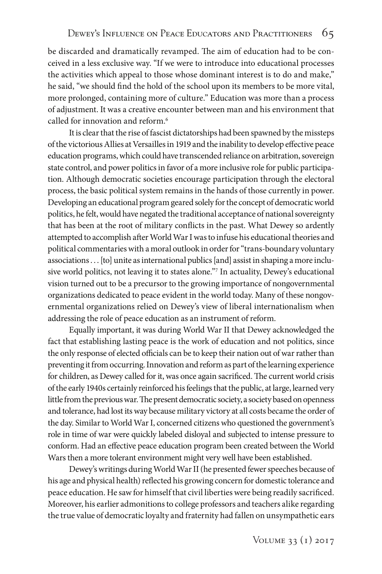be discarded and dramatically revamped. The aim of education had to be conceived in a less exclusive way. "If we were to introduce into educational processes the activities which appeal to those whose dominant interest is to do and make," he said, "we should find the hold of the school upon its members to be more vital, more prolonged, containing more of culture." Education was more than a process of adjustment. It was a creative encounter between man and his environment that called for innovation and reform<sup>6</sup>

It is clear that the rise of fascist dictatorships had been spawned by the missteps of the victorious Allies at Versailles in 1919 and the inability to develop effective peace education programs, which could have transcended reliance on arbitration, sovereign state control, and power politics in favor of a more inclusive role for public participation. Although democratic societies encourage participation through the electoral process, the basic political system remains in the hands of those currently in power. Developing an educational program geared solely for the concept of democratic world politics, he felt, would have negated the traditional acceptance of national sovereignty that has been at the root of military conflicts in the past. What Dewey so ardently attempted to accomplish after World War I was to infuse his educational theories and political commentaries with a moral outlook in order for "trans-boundary voluntary associations . . . [to] unite as international publics [and] assist in shaping a more inclusive world politics, not leaving it to states alone."7 In actuality, Dewey's educational vision turned out to be a precursor to the growing importance of nongovernmental organizations dedicated to peace evident in the world today. Many of these nongovernmental organizations relied on Dewey's view of liberal internationalism when addressing the role of peace education as an instrument of reform.

Equally important, it was during World War II that Dewey acknowledged the fact that establishing lasting peace is the work of education and not politics, since the only response of elected officials can be to keep their nation out of war rather than preventing it from occurring. Innovation and reform as part of the learning experience for children, as Dewey called for it, was once again sacrificed. The current world crisis of the early 1940s certainly reinforced his feelings that the public, at large, learned very little from the previous war. The present democratic society, a society based on openness and tolerance, had lost its way because military victory at all costs became the order of the day. Similar to World War I, concerned citizens who questioned the government's role in time of war were quickly labeled disloyal and subjected to intense pressure to conform. Had an effective peace education program been created between the World Wars then a more tolerant environment might very well have been established.

Dewey's writings during World War II (he presented fewer speeches because of his age and physical health) reflected his growing concern for domestic tolerance and peace education. He saw for himself that civil liberties were being readily sacrificed. Moreover, his earlier admonitions to college professors and teachers alike regarding the true value of democratic loyalty and fraternity had fallen on unsympathetic ears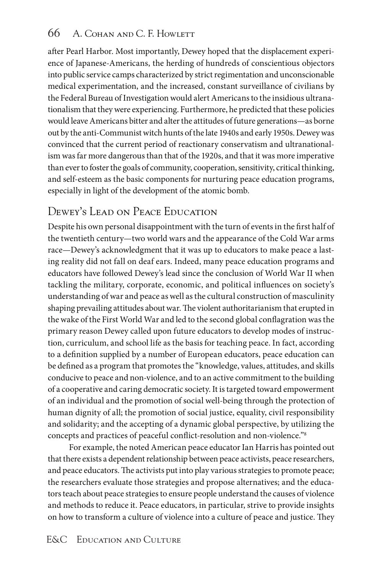## 66 A. Cohan and C. F. Howlett

after Pearl Harbor. Most importantly, Dewey hoped that the displacement experience of Japanese-Americans, the herding of hundreds of conscientious objectors into public service camps characterized by strict regimentation and unconscionable medical experimentation, and the increased, constant surveillance of civilians by the Federal Bureau of Investigation would alert Americans to the insidious ultranationalism that they were experiencing. Furthermore, he predicted that these policies would leave Americans bitter and alter the attitudes of future generations—as borne out by the anti-Communist witch hunts of the late 1940s and early 1950s. Dewey was convinced that the current period of reactionary conservatism and ultranationalism was far more dangerous than that of the 1920s, and that it was more imperative than ever to foster the goals of community, cooperation, sensitivity, critical thinking, and self-esteem as the basic components for nurturing peace education programs, especially in light of the development of the atomic bomb.

## Dewey's Lead on Peace Education

Despite his own personal disappointment with the turn of events in the first half of the twentieth century—two world wars and the appearance of the Cold War arms race—Dewey's acknowledgment that it was up to educators to make peace a lasting reality did not fall on deaf ears. Indeed, many peace education programs and educators have followed Dewey's lead since the conclusion of World War II when tackling the military, corporate, economic, and political influences on society's understanding of war and peace as well as the cultural construction of masculinity shaping prevailing attitudes about war. The violent authoritarianism that erupted in the wake of the First World War and led to the second global conflagration was the primary reason Dewey called upon future educators to develop modes of instruction, curriculum, and school life as the basis for teaching peace. In fact, according to a definition supplied by a number of European educators, peace education can be defined as a program that promotes the "knowledge, values, attitudes, and skills conducive to peace and non-violence, and to an active commitment to the building of a cooperative and caring democratic society. It is targeted toward empowerment of an individual and the promotion of social well-being through the protection of human dignity of all; the promotion of social justice, equality, civil responsibility and solidarity; and the accepting of a dynamic global perspective, by utilizing the concepts and practices of peaceful conflict-resolution and non-violence."8

For example, the noted American peace educator Ian Harris has pointed out that there exists a dependent relationship between peace activists, peace researchers, and peace educators. The activists put into play various strategies to promote peace; the researchers evaluate those strategies and propose alternatives; and the educators teach about peace strategies to ensure people understand the causes of violence and methods to reduce it. Peace educators, in particular, strive to provide insights on how to transform a culture of violence into a culture of peace and justice. They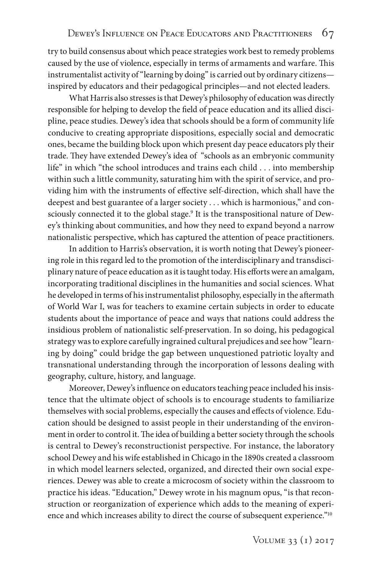try to build consensus about which peace strategies work best to remedy problems caused by the use of violence, especially in terms of armaments and warfare. This instrumentalist activity of "learning by doing" is carried out by ordinary citizens inspired by educators and their pedagogical principles—and not elected leaders.

What Harris also stresses is that Dewey's philosophy of education was directly responsible for helping to develop the field of peace education and its allied discipline, peace studies. Dewey's idea that schools should be a form of community life conducive to creating appropriate dispositions, especially social and democratic ones, became the building block upon which present day peace educators ply their trade. They have extended Dewey's idea of "schools as an embryonic community life" in which "the school introduces and trains each child . . . into membership within such a little community, saturating him with the spirit of service, and providing him with the instruments of effective self-direction, which shall have the deepest and best guarantee of a larger society . . . which is harmonious," and consciously connected it to the global stage.9 It is the transpositional nature of Dewey's thinking about communities, and how they need to expand beyond a narrow nationalistic perspective, which has captured the attention of peace practitioners.

In addition to Harris's observation, it is worth noting that Dewey's pioneering role in this regard led to the promotion of the interdisciplinary and transdisciplinary nature of peace education as it is taught today. His efforts were an amalgam, incorporating traditional disciplines in the humanities and social sciences. What he developed in terms of his instrumentalist philosophy, especially in the aftermath of World War I, was for teachers to examine certain subjects in order to educate students about the importance of peace and ways that nations could address the insidious problem of nationalistic self-preservation. In so doing, his pedagogical strategy was to explore carefully ingrained cultural prejudices and see how "learning by doing" could bridge the gap between unquestioned patriotic loyalty and transnational understanding through the incorporation of lessons dealing with geography, culture, history, and language.

Moreover, Dewey's influence on educators teaching peace included his insistence that the ultimate object of schools is to encourage students to familiarize themselves with social problems, especially the causes and effects of violence. Education should be designed to assist people in their understanding of the environment in order to control it. The idea of building a better society through the schools is central to Dewey's reconstructionist perspective. For instance, the laboratory school Dewey and his wife established in Chicago in the 1890s created a classroom in which model learners selected, organized, and directed their own social experiences. Dewey was able to create a microcosm of society within the classroom to practice his ideas. "Education," Dewey wrote in his magnum opus, "is that reconstruction or reorganization of experience which adds to the meaning of experience and which increases ability to direct the course of subsequent experience."10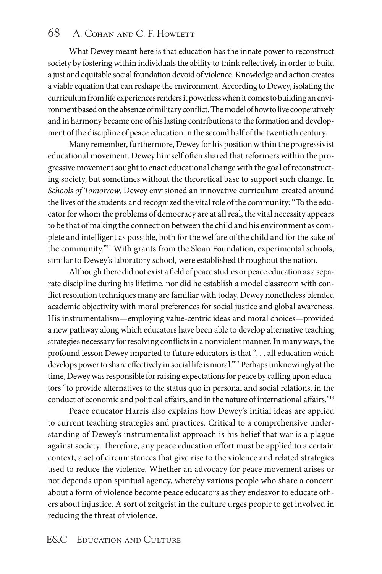#### 68 A. COHAN AND C. F. HOWLETT

What Dewey meant here is that education has the innate power to reconstruct society by fostering within individuals the ability to think reflectively in order to build a just and equitable social foundation devoid of violence. Knowledge and action creates a viable equation that can reshape the environment. According to Dewey, isolating the curriculum from life experiences renders it powerless when it comes to building an environment based on the absence of military conflict. The model of how to live cooperatively and in harmony became one of his lasting contributions to the formation and development of the discipline of peace education in the second half of the twentieth century.

Many remember, furthermore, Dewey for his position within the progressivist educational movement. Dewey himself often shared that reformers within the progressive movement sought to enact educational change with the goal of reconstructing society, but sometimes without the theoretical base to support such change. In *Schools of Tomorrow,* Dewey envisioned an innovative curriculum created around the lives of the students and recognized the vital role of the community: "To the educator for whom the problems of democracy are at all real, the vital necessity appears to be that of making the connection between the child and his environment as complete and intelligent as possible, both for the welfare of the child and for the sake of the community."11 With grants from the Sloan Foundation, experimental schools, similar to Dewey's laboratory school, were established throughout the nation.

Although there did not exist a field of peace studies or peace education as a separate discipline during his lifetime, nor did he establish a model classroom with conflict resolution techniques many are familiar with today, Dewey nonetheless blended academic objectivity with moral preferences for social justice and global awareness. His instrumentalism—employing value-centric ideas and moral choices—provided a new pathway along which educators have been able to develop alternative teaching strategies necessary for resolving conflicts in a nonviolent manner. In many ways, the profound lesson Dewey imparted to future educators is that ". . . all education which develops power to share effectively in social life is moral."12 Perhaps unknowingly at the time, Dewey was responsible for raising expectations for peace by calling upon educators "to provide alternatives to the status quo in personal and social relations, in the conduct of economic and political affairs, and in the nature of international affairs."13

Peace educator Harris also explains how Dewey's initial ideas are applied to current teaching strategies and practices. Critical to a comprehensive understanding of Dewey's instrumentalist approach is his belief that war is a plague against society. Therefore, any peace education effort must be applied to a certain context, a set of circumstances that give rise to the violence and related strategies used to reduce the violence. Whether an advocacy for peace movement arises or not depends upon spiritual agency, whereby various people who share a concern about a form of violence become peace educators as they endeavor to educate others about injustice. A sort of zeitgeist in the culture urges people to get involved in reducing the threat of violence.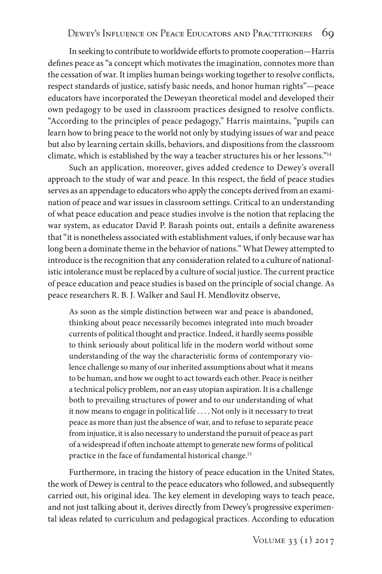In seeking to contribute to worldwide efforts to promote cooperation—Harris defines peace as "a concept which motivates the imagination, connotes more than the cessation of war. It implies human beings working together to resolve conflicts, respect standards of justice, satisfy basic needs, and honor human rights"—peace educators have incorporated the Deweyan theoretical model and developed their own pedagogy to be used in classroom practices designed to resolve conflicts. "According to the principles of peace pedagogy," Harris maintains, "pupils can learn how to bring peace to the world not only by studying issues of war and peace but also by learning certain skills, behaviors, and dispositions from the classroom climate, which is established by the way a teacher structures his or her lessons."14

Such an application, moreover, gives added credence to Dewey's overall approach to the study of war and peace. In this respect, the field of peace studies serves as an appendage to educators who apply the concepts derived from an examination of peace and war issues in classroom settings. Critical to an understanding of what peace education and peace studies involve is the notion that replacing the war system, as educator David P. Barash points out, entails a definite awareness that "it is nonetheless associated with establishment values, if only because war has long been a dominate theme in the behavior of nations." What Dewey attempted to introduce is the recognition that any consideration related to a culture of nationalistic intolerance must be replaced by a culture of social justice. The current practice of peace education and peace studies is based on the principle of social change. As peace researchers R. B. J. Walker and Saul H. Mendlovitz observe,

As soon as the simple distinction between war and peace is abandoned, thinking about peace necessarily becomes integrated into much broader currents of political thought and practice. Indeed, it hardly seems possible to think seriously about political life in the modern world without some understanding of the way the characteristic forms of contemporary violence challenge so many of our inherited assumptions about what it means to be human, and how we ought to act towards each other. Peace is neither a technical policy problem, nor an easy utopian aspiration. It is a challenge both to prevailing structures of power and to our understanding of what it now means to engage in political life . . . . Not only is it necessary to treat peace as more than just the absence of war, and to refuse to separate peace from injustice, it is also necessary to understand the pursuit of peace as part of a widespread if often inchoate attempt to generate new forms of political practice in the face of fundamental historical change.<sup>15</sup>

Furthermore, in tracing the history of peace education in the United States, the work of Dewey is central to the peace educators who followed, and subsequently carried out, his original idea. The key element in developing ways to teach peace, and not just talking about it, derives directly from Dewey's progressive experimental ideas related to curriculum and pedagogical practices. According to education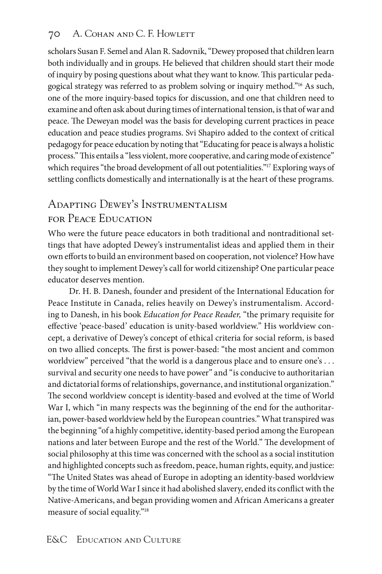#### 70 A. Cohan and C. F. Howlett

scholars Susan F. Semel and Alan R. Sadovnik, "Dewey proposed that children learn both individually and in groups. He believed that children should start their mode of inquiry by posing questions about what they want to know. This particular pedagogical strategy was referred to as problem solving or inquiry method."16 As such, one of the more inquiry-based topics for discussion, and one that children need to examine and often ask about during times of international tension, is that of war and peace. The Deweyan model was the basis for developing current practices in peace education and peace studies programs. Svi Shapiro added to the context of critical pedagogy for peace education by noting that "Educating for peace is always a holistic process." This entails a "less violent, more cooperative, and caring mode of existence" which requires "the broad development of all out potentialities."<sup>17</sup> Exploring ways of settling conflicts domestically and internationally is at the heart of these programs.

## Adapting Dewey's Instrumentalism for Peace Education

Who were the future peace educators in both traditional and nontraditional settings that have adopted Dewey's instrumentalist ideas and applied them in their own efforts to build an environment based on cooperation, not violence? How have they sought to implement Dewey's call for world citizenship? One particular peace educator deserves mention.

Dr. H. B. Danesh, founder and president of the International Education for Peace Institute in Canada, relies heavily on Dewey's instrumentalism. According to Danesh, in his book *Education for Peace Reader,* "the primary requisite for effective 'peace-based' education is unity-based worldview." His worldview concept, a derivative of Dewey's concept of ethical criteria for social reform, is based on two allied concepts. The first is power-based: "the most ancient and common worldview" perceived "that the world is a dangerous place and to ensure one's ... survival and security one needs to have power" and "is conducive to authoritarian and dictatorial forms of relationships, governance, and institutional organization." The second worldview concept is identity-based and evolved at the time of World War I, which "in many respects was the beginning of the end for the authoritarian, power-based worldview held by the European countries." What transpired was the beginning "of a highly competitive, identity-based period among the European nations and later between Europe and the rest of the World." The development of social philosophy at this time was concerned with the school as a social institution and highlighted concepts such as freedom, peace, human rights, equity, and justice: "The United States was ahead of Europe in adopting an identity-based worldview by the time of World War I since it had abolished slavery, ended its conflict with the Native-Americans, and began providing women and African Americans a greater measure of social equality."18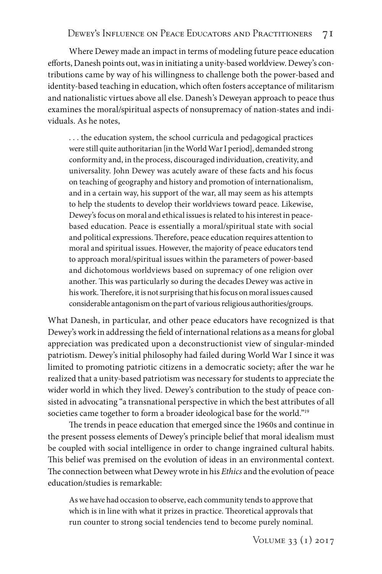Where Dewey made an impact in terms of modeling future peace education efforts, Danesh points out, was in initiating a unity-based worldview. Dewey's contributions came by way of his willingness to challenge both the power-based and identity-based teaching in education, which often fosters acceptance of militarism and nationalistic virtues above all else. Danesh's Deweyan approach to peace thus examines the moral/spiritual aspects of nonsupremacy of nation-states and individuals. As he notes,

. . . the education system, the school curricula and pedagogical practices were still quite authoritarian [in the World War I period], demanded strong conformity and, in the process, discouraged individuation, creativity, and universality. John Dewey was acutely aware of these facts and his focus on teaching of geography and history and promotion of internationalism, and in a certain way, his support of the war, all may seem as his attempts to help the students to develop their worldviews toward peace. Likewise, Dewey's focus on moral and ethical issues is related to his interest in peacebased education. Peace is essentially a moral/spiritual state with social and political expressions. Therefore, peace education requires attention to moral and spiritual issues. However, the majority of peace educators tend to approach moral/spiritual issues within the parameters of power-based and dichotomous worldviews based on supremacy of one religion over another. This was particularly so during the decades Dewey was active in his work. Therefore, it is not surprising that his focus on moral issues caused considerable antagonism on the part of various religious authorities/groups.

What Danesh, in particular, and other peace educators have recognized is that Dewey's work in addressing the field of international relations as a means for global appreciation was predicated upon a deconstructionist view of singular-minded patriotism. Dewey's initial philosophy had failed during World War I since it was limited to promoting patriotic citizens in a democratic society; after the war he realized that a unity-based patriotism was necessary for students to appreciate the wider world in which they lived. Dewey's contribution to the study of peace consisted in advocating "a transnational perspective in which the best attributes of all societies came together to form a broader ideological base for the world."<sup>19</sup>

The trends in peace education that emerged since the 1960s and continue in the present possess elements of Dewey's principle belief that moral idealism must be coupled with social intelligence in order to change ingrained cultural habits. This belief was premised on the evolution of ideas in an environmental context. The connection between what Dewey wrote in his *Ethics* and the evolution of peace education/studies is remarkable:

As we have had occasion to observe, each community tends to approve that which is in line with what it prizes in practice. Theoretical approvals that run counter to strong social tendencies tend to become purely nominal.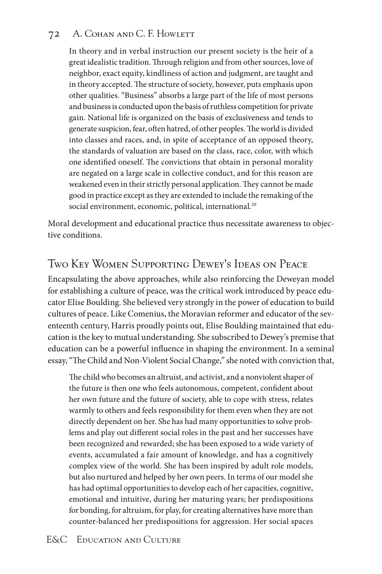#### 72 A. Cohan and C. F. Howlett

In theory and in verbal instruction our present society is the heir of a great idealistic tradition. Through religion and from other sources, love of neighbor, exact equity, kindliness of action and judgment, are taught and in theory accepted. The structure of society, however, puts emphasis upon other qualities. "Business" absorbs a large part of the life of most persons and business is conducted upon the basis of ruthless competition for private gain. National life is organized on the basis of exclusiveness and tends to generate suspicion, fear, often hatred, of other peoples. The world is divided into classes and races, and, in spite of acceptance of an opposed theory, the standards of valuation are based on the class, race, color, with which one identified oneself. The convictions that obtain in personal morality are negated on a large scale in collective conduct, and for this reason are weakened even in their strictly personal application. They cannot be made good in practice except as they are extended to include the remaking of the social environment, economic, political, international.<sup>20</sup>

Moral development and educational practice thus necessitate awareness to objective conditions.

### Two Key Women Supporting Dewey's Ideas on Peace

Encapsulating the above approaches, while also reinforcing the Deweyan model for establishing a culture of peace, was the critical work introduced by peace educator Elise Boulding. She believed very strongly in the power of education to build cultures of peace. Like Comenius, the Moravian reformer and educator of the seventeenth century, Harris proudly points out, Elise Boulding maintained that education is the key to mutual understanding. She subscribed to Dewey's premise that education can be a powerful influence in shaping the environment. In a seminal essay, "The Child and Non-Violent Social Change," she noted with conviction that,

The child who becomes an altruist, and activist, and a nonviolent shaper of the future is then one who feels autonomous, competent, confident about her own future and the future of society, able to cope with stress, relates warmly to others and feels responsibility for them even when they are not directly dependent on her. She has had many opportunities to solve problems and play out different social roles in the past and her successes have been recognized and rewarded; she has been exposed to a wide variety of events, accumulated a fair amount of knowledge, and has a cognitively complex view of the world. She has been inspired by adult role models, but also nurtured and helped by her own peers. In terms of our model she has had optimal opportunities to develop each of her capacities, cognitive, emotional and intuitive, during her maturing years; her predispositions for bonding, for altruism, for play, for creating alternatives have more than counter-balanced her predispositions for aggression. Her social spaces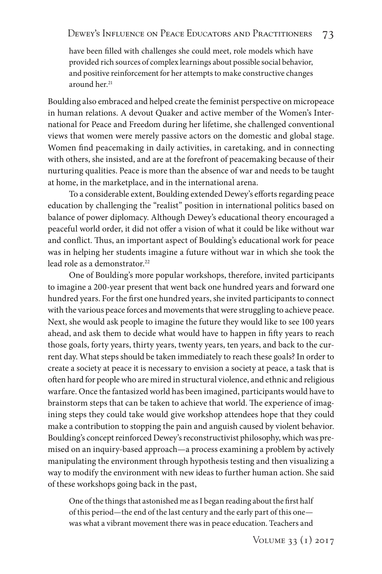have been filled with challenges she could meet, role models which have provided rich sources of complex learnings about possible social behavior, and positive reinforcement for her attempts to make constructive changes around her.<sup>21</sup>

Boulding also embraced and helped create the feminist perspective on micropeace in human relations. A devout Quaker and active member of the Women's International for Peace and Freedom during her lifetime, she challenged conventional views that women were merely passive actors on the domestic and global stage. Women find peacemaking in daily activities, in caretaking, and in connecting with others, she insisted, and are at the forefront of peacemaking because of their nurturing qualities. Peace is more than the absence of war and needs to be taught at home, in the marketplace, and in the international arena.

To a considerable extent, Boulding extended Dewey's efforts regarding peace education by challenging the "realist" position in international politics based on balance of power diplomacy. Although Dewey's educational theory encouraged a peaceful world order, it did not offer a vision of what it could be like without war and conflict. Thus, an important aspect of Boulding's educational work for peace was in helping her students imagine a future without war in which she took the lead role as a demonstrator.<sup>22</sup>

One of Boulding's more popular workshops, therefore, invited participants to imagine a 200-year present that went back one hundred years and forward one hundred years. For the first one hundred years, she invited participants to connect with the various peace forces and movements that were struggling to achieve peace. Next, she would ask people to imagine the future they would like to see 100 years ahead, and ask them to decide what would have to happen in fifty years to reach those goals, forty years, thirty years, twenty years, ten years, and back to the current day. What steps should be taken immediately to reach these goals? In order to create a society at peace it is necessary to envision a society at peace, a task that is often hard for people who are mired in structural violence, and ethnic and religious warfare. Once the fantasized world has been imagined, participants would have to brainstorm steps that can be taken to achieve that world. The experience of imagining steps they could take would give workshop attendees hope that they could make a contribution to stopping the pain and anguish caused by violent behavior. Boulding's concept reinforced Dewey's reconstructivist philosophy, which was premised on an inquiry-based approach—a process examining a problem by actively manipulating the environment through hypothesis testing and then visualizing a way to modify the environment with new ideas to further human action. She said of these workshops going back in the past,

One of the things that astonished me as I began reading about the first half of this period—the end of the last century and the early part of this one was what a vibrant movement there was in peace education. Teachers and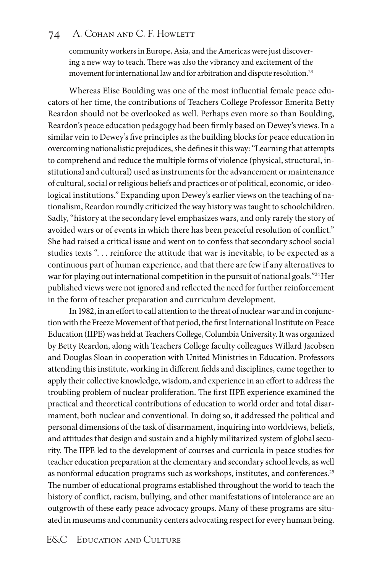#### 74 A. Cohan and C. F. Howlett

community workers in Europe, Asia, and the Americas were just discovering a new way to teach. There was also the vibrancy and excitement of the movement for international law and for arbitration and dispute resolution.23

Whereas Elise Boulding was one of the most influential female peace educators of her time, the contributions of Teachers College Professor Emerita Betty Reardon should not be overlooked as well. Perhaps even more so than Boulding, Reardon's peace education pedagogy had been firmly based on Dewey's views. In a similar vein to Dewey's five principles as the building blocks for peace education in overcoming nationalistic prejudices, she defines it this way: "Learning that attempts to comprehend and reduce the multiple forms of violence (physical, structural, institutional and cultural) used as instruments for the advancement or maintenance of cultural, social or religious beliefs and practices or of political, economic, or ideological institutions." Expanding upon Dewey's earlier views on the teaching of nationalism, Reardon roundly criticized the way history was taught to schoolchildren. Sadly, "history at the secondary level emphasizes wars, and only rarely the story of avoided wars or of events in which there has been peaceful resolution of conflict." She had raised a critical issue and went on to confess that secondary school social studies texts ". . . reinforce the attitude that war is inevitable, to be expected as a continuous part of human experience, and that there are few if any alternatives to war for playing out international competition in the pursuit of national goals."<sup>24</sup> Her published views were not ignored and reflected the need for further reinforcement in the form of teacher preparation and curriculum development.

In 1982, in an effort to call attention to the threat of nuclear war and in conjunction with the Freeze Movement of that period, the first International Institute on Peace Education (IIPE) was held at Teachers College, Columbia University. It was organized by Betty Reardon, along with Teachers College faculty colleagues Willard Jacobsen and Douglas Sloan in cooperation with United Ministries in Education. Professors attending this institute, working in different fields and disciplines, came together to apply their collective knowledge, wisdom, and experience in an effort to address the troubling problem of nuclear proliferation. The first IIPE experience examined the practical and theoretical contributions of education to world order and total disarmament, both nuclear and conventional. In doing so, it addressed the political and personal dimensions of the task of disarmament, inquiring into worldviews, beliefs, and attitudes that design and sustain and a highly militarized system of global security. The IIPE led to the development of courses and curricula in peace studies for teacher education preparation at the elementary and secondary school levels, as well as nonformal education programs such as workshops, institutes, and conferences.<sup>25</sup> The number of educational programs established throughout the world to teach the history of conflict, racism, bullying, and other manifestations of intolerance are an outgrowth of these early peace advocacy groups. Many of these programs are situated in museums and community centers advocating respect for every human being.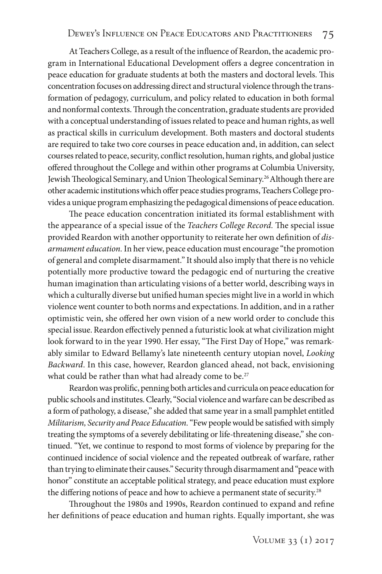At Teachers College, as a result of the influence of Reardon, the academic program in International Educational Development offers a degree concentration in peace education for graduate students at both the masters and doctoral levels. This concentration focuses on addressing direct and structural violence through the transformation of pedagogy, curriculum, and policy related to education in both formal and nonformal contexts. Through the concentration, graduate students are provided with a conceptual understanding of issues related to peace and human rights, as well as practical skills in curriculum development. Both masters and doctoral students are required to take two core courses in peace education and, in addition, can select courses related to peace, security, conflict resolution, human rights, and global justice offered throughout the College and within other programs at Columbia University, Jewish Theological Seminary, and Union Theological Seminary.<sup>26</sup> Although there are other academic institutions which offer peace studies programs, Teachers College provides a unique program emphasizing the pedagogical dimensions of peace education.

The peace education concentration initiated its formal establishment with the appearance of a special issue of the *Teachers College Record.* The special issue provided Reardon with another opportunity to reiterate her own definition of *disarmament education.* In her view, peace education must encourage "the promotion of general and complete disarmament." It should also imply that there is no vehicle potentially more productive toward the pedagogic end of nurturing the creative human imagination than articulating visions of a better world, describing ways in which a culturally diverse but unified human species might live in a world in which violence went counter to both norms and expectations. In addition, and in a rather optimistic vein, she offered her own vision of a new world order to conclude this special issue. Reardon effectively penned a futuristic look at what civilization might look forward to in the year 1990. Her essay, "The First Day of Hope," was remarkably similar to Edward Bellamy's late nineteenth century utopian novel, *Looking Backward*. In this case, however, Reardon glanced ahead, not back, envisioning what could be rather than what had already come to be.<sup>27</sup>

Reardon was prolific, penning both articles and curricula on peace education for public schools and institutes. Clearly, "Social violence and warfare can be described as a form of pathology, a disease," she added that same year in a small pamphlet entitled *Militarism, Security and Peace Education.* "Few people would be satisfied with simply treating the symptoms of a severely debilitating or life-threatening disease," she continued. "Yet, we continue to respond to most forms of violence by preparing for the continued incidence of social violence and the repeated outbreak of warfare, rather than trying to eliminate their causes." Security through disarmament and "peace with honor" constitute an acceptable political strategy, and peace education must explore the differing notions of peace and how to achieve a permanent state of security.<sup>28</sup>

Throughout the 1980s and 1990s, Reardon continued to expand and refine her definitions of peace education and human rights. Equally important, she was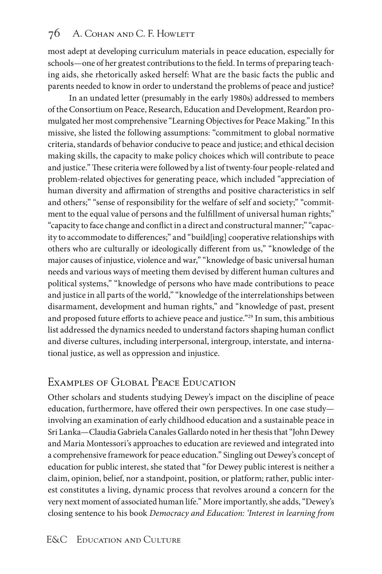## 76 A. COHAN AND C. F. HOWLETT

most adept at developing curriculum materials in peace education, especially for schools—one of her greatest contributions to the field. In terms of preparing teaching aids, she rhetorically asked herself: What are the basic facts the public and parents needed to know in order to understand the problems of peace and justice?

In an undated letter (presumably in the early 1980s) addressed to members of the Consortium on Peace, Research, Education and Development, Reardon promulgated her most comprehensive "Learning Objectives for Peace Making." In this missive, she listed the following assumptions: "commitment to global normative criteria, standards of behavior conducive to peace and justice; and ethical decision making skills, the capacity to make policy choices which will contribute to peace and justice." These criteria were followed by a list of twenty-four people-related and problem-related objectives for generating peace, which included "appreciation of human diversity and affirmation of strengths and positive characteristics in self and others;" "sense of responsibility for the welfare of self and society;" "commitment to the equal value of persons and the fulfillment of universal human rights;" "capacity to face change and conflict in a direct and constructural manner;" "capacity to accommodate to differences;" and "build[ing] cooperative relationships with others who are culturally or ideologically different from us," "knowledge of the major causes of injustice, violence and war," "knowledge of basic universal human needs and various ways of meeting them devised by different human cultures and political systems," "knowledge of persons who have made contributions to peace and justice in all parts of the world," "knowledge of the interrelationships between disarmament, development and human rights," and "knowledge of past, present and proposed future efforts to achieve peace and justice."29 In sum, this ambitious list addressed the dynamics needed to understand factors shaping human conflict and diverse cultures, including interpersonal, intergroup, interstate, and international justice, as well as oppression and injustice.

## Examples of Global Peace Education

Other scholars and students studying Dewey's impact on the discipline of peace education, furthermore, have offered their own perspectives. In one case study involving an examination of early childhood education and a sustainable peace in Sri Lanka—Claudia Gabriela Canales Gallardo noted in her thesis that "John Dewey and Maria Montessori's approaches to education are reviewed and integrated into a comprehensive framework for peace education." Singling out Dewey's concept of education for public interest, she stated that "for Dewey public interest is neither a claim, opinion, belief, nor a standpoint, position, or platform; rather, public interest constitutes a living, dynamic process that revolves around a concern for the very next moment of associated human life." More importantly, she adds, "Dewey's closing sentence to his book *Democracy and Education: 'Interest in learning from*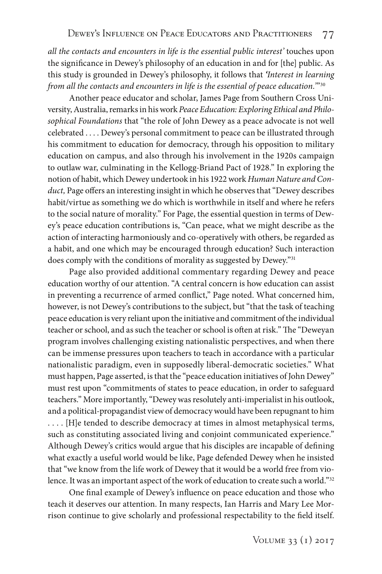*all the contacts and encounters in life is the essential public interest'* touches upon the significance in Dewey's philosophy of an education in and for [the] public. As this study is grounded in Dewey's philosophy, it follows that *'Interest in learning from all the contacts and encounters in life is the essential of peace education.'*"30

Another peace educator and scholar, James Page from Southern Cross University, Australia, remarks in his work *Peace Education: Exploring Ethical and Philosophical Foundations* that "the role of John Dewey as a peace advocate is not well celebrated . . . . Dewey's personal commitment to peace can be illustrated through his commitment to education for democracy, through his opposition to military education on campus, and also through his involvement in the 1920s campaign to outlaw war, culminating in the Kellogg-Briand Pact of 1928." In exploring the notion of habit, which Dewey undertook in his 1922 work *Human Nature and Conduct,* Page offers an interesting insight in which he observes that "Dewey describes habit/virtue as something we do which is worthwhile in itself and where he refers to the social nature of morality." For Page, the essential question in terms of Dewey's peace education contributions is, "Can peace, what we might describe as the action of interacting harmoniously and co-operatively with others, be regarded as a habit, and one which may be encouraged through education? Such interaction does comply with the conditions of morality as suggested by Dewey."<sup>31</sup>

Page also provided additional commentary regarding Dewey and peace education worthy of our attention. "A central concern is how education can assist in preventing a recurrence of armed conflict," Page noted. What concerned him, however, is not Dewey's contributions to the subject, but "that the task of teaching peace education is very reliant upon the initiative and commitment of the individual teacher or school, and as such the teacher or school is often at risk." The "Deweyan program involves challenging existing nationalistic perspectives, and when there can be immense pressures upon teachers to teach in accordance with a particular nationalistic paradigm, even in supposedly liberal-democratic societies." What must happen, Page asserted, is that the "peace education initiatives of John Dewey" must rest upon "commitments of states to peace education, in order to safeguard teachers." More importantly, "Dewey was resolutely anti-imperialist in his outlook, and a political-propagandist view of democracy would have been repugnant to him . . . . [H]e tended to describe democracy at times in almost metaphysical terms, such as constituting associated living and conjoint communicated experience." Although Dewey's critics would argue that his disciples are incapable of defining what exactly a useful world would be like, Page defended Dewey when he insisted that "we know from the life work of Dewey that it would be a world free from violence. It was an important aspect of the work of education to create such a world."32

One final example of Dewey's influence on peace education and those who teach it deserves our attention. In many respects, Ian Harris and Mary Lee Morrison continue to give scholarly and professional respectability to the field itself.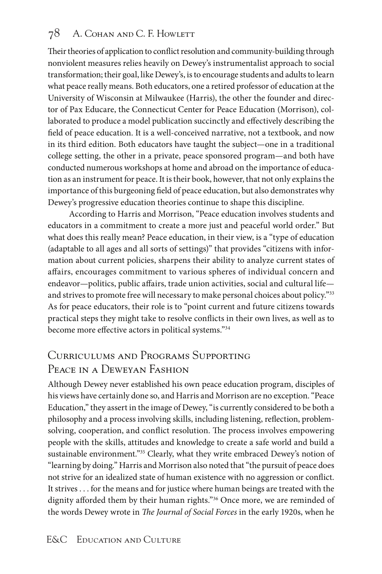## 78 A. COHAN AND C. F. HOWLETT

Their theories of application to conflict resolution and community-building through nonviolent measures relies heavily on Dewey's instrumentalist approach to social transformation; their goal, like Dewey's, is to encourage students and adults to learn what peace really means. Both educators, one a retired professor of education at the University of Wisconsin at Milwaukee (Harris), the other the founder and director of Pax Educare, the Connecticut Center for Peace Education (Morrison), collaborated to produce a model publication succinctly and effectively describing the field of peace education. It is a well-conceived narrative, not a textbook, and now in its third edition. Both educators have taught the subject—one in a traditional college setting, the other in a private, peace sponsored program—and both have conducted numerous workshops at home and abroad on the importance of education as an instrument for peace. It is their book, however, that not only explains the importance of this burgeoning field of peace education, but also demonstrates why Dewey's progressive education theories continue to shape this discipline.

According to Harris and Morrison, "Peace education involves students and educators in a commitment to create a more just and peaceful world order." But what does this really mean? Peace education, in their view, is a "type of education (adaptable to all ages and all sorts of settings)" that provides "citizens with information about current policies, sharpens their ability to analyze current states of affairs, encourages commitment to various spheres of individual concern and endeavor—politics, public affairs, trade union activities, social and cultural life and strives to promote free will necessary to make personal choices about policy."<sup>33</sup> As for peace educators, their role is to "point current and future citizens towards practical steps they might take to resolve conflicts in their own lives, as well as to become more effective actors in political systems."34

## Curriculums and Programs Supporting Peace in a Deweyan Fashion

Although Dewey never established his own peace education program, disciples of his views have certainly done so, and Harris and Morrison are no exception. "Peace Education," they assert in the image of Dewey, "is currently considered to be both a philosophy and a process involving skills, including listening, reflection, problemsolving, cooperation, and conflict resolution. The process involves empowering people with the skills, attitudes and knowledge to create a safe world and build a sustainable environment."<sup>35</sup> Clearly, what they write embraced Dewey's notion of "learning by doing." Harris and Morrison also noted that "the pursuit of peace does not strive for an idealized state of human existence with no aggression or conflict. It strives . . . for the means and for justice where human beings are treated with the dignity afforded them by their human rights."36 Once more, we are reminded of the words Dewey wrote in *The Journal of Social Forces* in the early 1920s, when he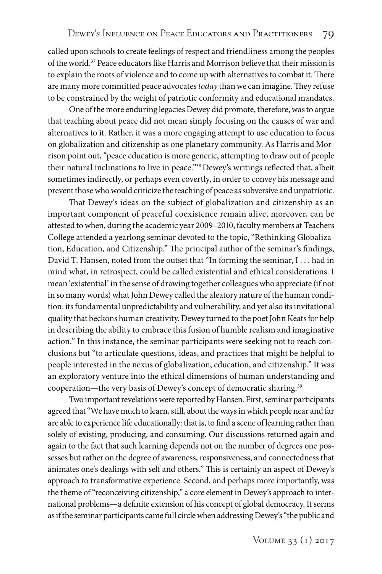called upon schools to create feelings of respect and friendliness among the peoples of the world.37 Peace educators like Harris and Morrison believe that their mission is to explain the roots of violence and to come up with alternatives to combat it. There are many more committed peace advocates *today* than we can imagine. They refuse to be constrained by the weight of patriotic conformity and educational mandates.

One of the more enduring legacies Dewey did promote, therefore, was to argue that teaching about peace did not mean simply focusing on the causes of war and alternatives to it. Rather, it was a more engaging attempt to use education to focus on globalization and citizenship as one planetary community. As Harris and Morrison point out, "peace education is more generic, attempting to draw out of people their natural inclinations to live in peace."38 Dewey's writings reflected that, albeit sometimes indirectly, or perhaps even covertly, in order to convey his message and prevent those who would criticize the teaching of peace as subversive and unpatriotic.

That Dewey's ideas on the subject of globalization and citizenship as an important component of peaceful coexistence remain alive, moreover, can be attested to when, during the academic year 2009–2010, faculty members at Teachers College attended a yearlong seminar devoted to the topic, "Rethinking Globalization, Education, and Citizenship." The principal author of the seminar's findings, David T. Hansen, noted from the outset that "In forming the seminar, I . . . had in mind what, in retrospect, could be called existential and ethical considerations. I mean 'existential' in the sense of drawing together colleagues who appreciate (if not in so many words) what John Dewey called the aleatory nature of the human condition: its fundamental unpredictability and vulnerability, and yet also its invitational quality that beckons human creativity. Dewey turned to the poet John Keats for help in describing the ability to embrace this fusion of humble realism and imaginative action." In this instance, the seminar participants were seeking not to reach conclusions but "to articulate questions, ideas, and practices that might be helpful to people interested in the nexus of globalization, education, and citizenship." It was an exploratory venture into the ethical dimensions of human understanding and cooperation—the very basis of Dewey's concept of democratic sharing.39

Two important revelations were reported by Hansen. First, seminar participants agreed that "We have much to learn, still, about the ways in which people near and far are able to experience life educationally: that is, to find a scene of learning rather than solely of existing, producing, and consuming. Our discussions returned again and again to the fact that such learning depends not on the number of degrees one possesses but rather on the degree of awareness, responsiveness, and connectedness that animates one's dealings with self and others." This is certainly an aspect of Dewey's approach to transformative experience. Second, and perhaps more importantly, was the theme of "reconceiving citizenship," a core element in Dewey's approach to international problems—a definite extension of his concept of global democracy. It seems as if the seminar participants came full circle when addressing Dewey's "the public and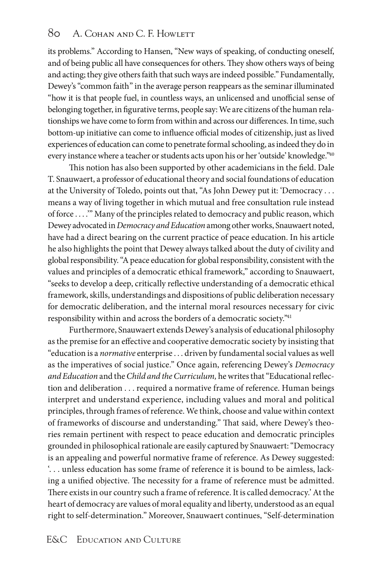its problems." According to Hansen, "New ways of speaking, of conducting oneself, and of being public all have consequences for others. They show others ways of being and acting; they give others faith that such ways are indeed possible." Fundamentally, Dewey's "common faith" in the average person reappears as the seminar illuminated "how it is that people fuel, in countless ways, an unlicensed and unofficial sense of belonging together, in figurative terms, people say: We are citizens of the human relationships we have come to form from within and across our differences. In time, such bottom-up initiative can come to influence official modes of citizenship, just as lived experiences of education can come to penetrate formal schooling, as indeed they do in every instance where a teacher or students acts upon his or her 'outside' knowledge."40

This notion has also been supported by other academicians in the field. Dale T. Snauwaert, a professor of educational theory and social foundations of education at the University of Toledo, points out that, "As John Dewey put it: 'Democracy . . . means a way of living together in which mutual and free consultation rule instead of force . . . .'" Many of the principles related to democracy and public reason, which Dewey advocated in *Democracy and Education* among other works, Snauwaert noted, have had a direct bearing on the current practice of peace education. In his article he also highlights the point that Dewey always talked about the duty of civility and global responsibility. "A peace education for global responsibility, consistent with the values and principles of a democratic ethical framework," according to Snauwaert, "seeks to develop a deep, critically reflective understanding of a democratic ethical framework, skills, understandings and dispositions of public deliberation necessary for democratic deliberation, and the internal moral resources necessary for civic responsibility within and across the borders of a democratic society."41

Furthermore, Snauwaert extends Dewey's analysis of educational philosophy as the premise for an effective and cooperative democratic society by insisting that "education is a *normative* enterprise . . . driven by fundamental social values as well as the imperatives of social justice." Once again, referencing Dewey's *Democracy and Education* and the *Child and the Curriculum,* he writes that "Educational reflection and deliberation . . . required a normative frame of reference. Human beings interpret and understand experience, including values and moral and political principles, through frames of reference. We think, choose and value within context of frameworks of discourse and understanding." That said, where Dewey's theories remain pertinent with respect to peace education and democratic principles grounded in philosophical rationale are easily captured by Snauwaert: "Democracy is an appealing and powerful normative frame of reference. As Dewey suggested: '. . . unless education has some frame of reference it is bound to be aimless, lacking a unified objective. The necessity for a frame of reference must be admitted. There exists in our country such a frame of reference. It is called democracy.' At the heart of democracy are values of moral equality and liberty, understood as an equal right to self-determination." Moreover, Snauwaert continues, "Self-determination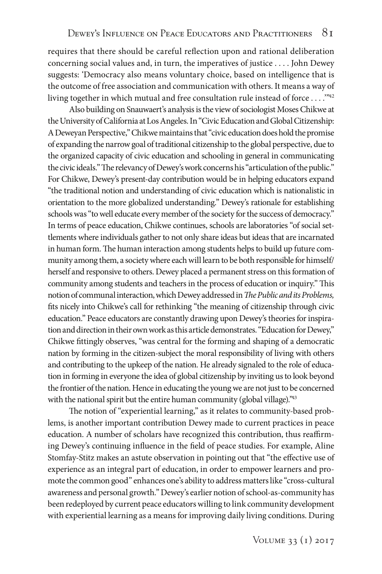requires that there should be careful reflection upon and rational deliberation concerning social values and, in turn, the imperatives of justice . . . . John Dewey suggests: 'Democracy also means voluntary choice, based on intelligence that is the outcome of free association and communication with others. It means a way of living together in which mutual and free consultation rule instead of force . . . . "42

Also building on Snauwaert's analysis is the view of sociologist Moses Chikwe at the University of California at Los Angeles. In "Civic Education and Global Citizenship: A Deweyan Perspective," Chikwe maintains that "civic education does hold the promise of expanding the narrow goal of traditional citizenship to the global perspective, due to the organized capacity of civic education and schooling in general in communicating the civic ideals." The relevancy of Dewey's work concerns his "articulation of the public." For Chikwe, Dewey's present-day contribution would be in helping educators expand "the traditional notion and understanding of civic education which is nationalistic in orientation to the more globalized understanding." Dewey's rationale for establishing schools was "to well educate every member of the society for the success of democracy." In terms of peace education, Chikwe continues, schools are laboratories "of social settlements where individuals gather to not only share ideas but ideas that are incarnated in human form. The human interaction among students helps to build up future community among them, a society where each will learn to be both responsible for himself/ herself and responsive to others. Dewey placed a permanent stress on this formation of community among students and teachers in the process of education or inquiry." This notion of communal interaction, which Dewey addressed in *The Public and its Problems,* fits nicely into Chikwe's call for rethinking "the meaning of citizenship through civic education." Peace educators are constantly drawing upon Dewey's theories for inspiration and direction in their own work as this article demonstrates. "Education for Dewey," Chikwe fittingly observes, "was central for the forming and shaping of a democratic nation by forming in the citizen-subject the moral responsibility of living with others and contributing to the upkeep of the nation. He already signaled to the role of education in forming in everyone the idea of global citizenship by inviting us to look beyond the frontier of the nation. Hence in educating the young we are not just to be concerned with the national spirit but the entire human community (global village)."<sup>43</sup>

The notion of "experiential learning," as it relates to community-based problems, is another important contribution Dewey made to current practices in peace education. A number of scholars have recognized this contribution, thus reaffirming Dewey's continuing influence in the field of peace studies. For example, Aline Stomfay-Stitz makes an astute observation in pointing out that "the effective use of experience as an integral part of education, in order to empower learners and promote the common good" enhances one's ability to address matters like "cross-cultural awareness and personal growth." Dewey's earlier notion of school-as-community has been redeployed by current peace educators willing to link community development with experiential learning as a means for improving daily living conditions. During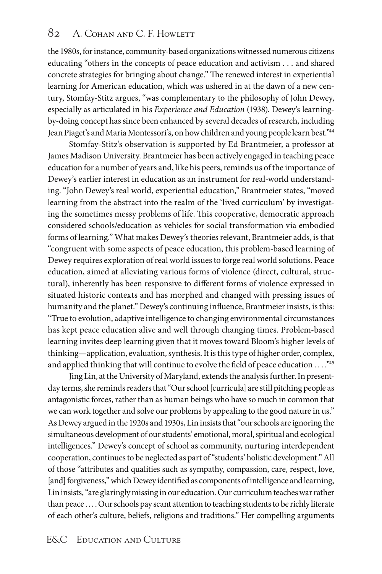the 1980s, for instance, community-based organizations witnessed numerous citizens educating "others in the concepts of peace education and activism . . . and shared concrete strategies for bringing about change." The renewed interest in experiential learning for American education, which was ushered in at the dawn of a new century, Stomfay-Stitz argues, "was complementary to the philosophy of John Dewey, especially as articulated in his *Experience and Education* (1938). Dewey's learningby-doing concept has since been enhanced by several decades of research, including Jean Piaget's and Maria Montessori's, on how children and young people learn best."44

Stomfay-Stitz's observation is supported by Ed Brantmeier, a professor at James Madison University. Brantmeier has been actively engaged in teaching peace education for a number of years and, like his peers, reminds us of the importance of Dewey's earlier interest in education as an instrument for real-world understanding. "John Dewey's real world, experiential education," Brantmeier states, "moved learning from the abstract into the realm of the 'lived curriculum' by investigating the sometimes messy problems of life. This cooperative, democratic approach considered schools/education as vehicles for social transformation via embodied forms of learning." What makes Dewey's theories relevant, Brantmeier adds, is that "congruent with some aspects of peace education, this problem-based learning of Dewey requires exploration of real world issues to forge real world solutions. Peace education, aimed at alleviating various forms of violence (direct, cultural, structural), inherently has been responsive to different forms of violence expressed in situated historic contexts and has morphed and changed with pressing issues of humanity and the planet." Dewey's continuing influence, Brantmeier insists, is this: "True to evolution, adaptive intelligence to changing environmental circumstances has kept peace education alive and well through changing times. Problem-based learning invites deep learning given that it moves toward Bloom's higher levels of thinking—application, evaluation, synthesis. It is this type of higher order, complex, and applied thinking that will continue to evolve the field of peace education . . . . "45

Jing Lin, at the University of Maryland, extends the analysis further. In presentday terms, she reminds readers that "Our school [curricula] are still pitching people as antagonistic forces, rather than as human beings who have so much in common that we can work together and solve our problems by appealing to the good nature in us." As Dewey argued in the 1920s and 1930s, Lin insists that "our schools are ignoring the simultaneous development of our students' emotional, moral, spiritual and ecological intelligences." Dewey's concept of school as community, nurturing interdependent cooperation, continues to be neglected as part of "students' holistic development." All of those "attributes and qualities such as sympathy, compassion, care, respect, love, [and] forgiveness," which Dewey identified as components of intelligence and learning, Lin insists, "are glaringly missing in our education. Our curriculum teaches war rather than peace . . . . Our schools pay scant attention to teaching students to be richly literate of each other's culture, beliefs, religions and traditions." Her compelling arguments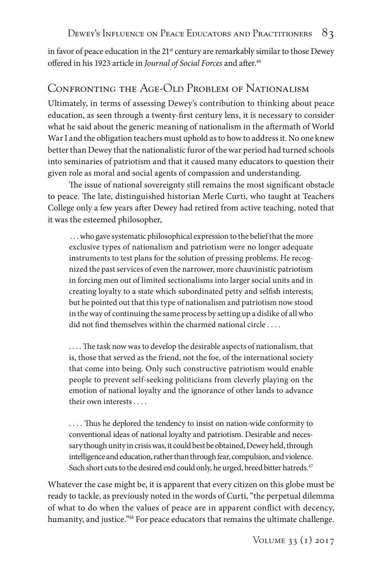in favor of peace education in the  $21<sup>st</sup>$  century are remarkably similar to those Dewey offered in his 1923 article in *Journal of Social Forces* and after.46

## Confronting the Age-Old Problem of Nationalism

Ultimately, in terms of assessing Dewey's contribution to thinking about peace education, as seen through a twenty-first century lens, it is necessary to consider what he said about the generic meaning of nationalism in the aftermath of World War I and the obligation teachers must uphold as to how to address it. No one knew better than Dewey that the nationalistic furor of the war period had turned schools into seminaries of patriotism and that it caused many educators to question their given role as moral and social agents of compassion and understanding.

The issue of national sovereignty still remains the most significant obstacle to peace. The late, distinguished historian Merle Curti, who taught at Teachers College only a few years after Dewey had retired from active teaching, noted that it was the esteemed philosopher,

 . . . who gave systematic philosophical expression to the belief that the more exclusive types of nationalism and patriotism were no longer adequate instruments to test plans for the solution of pressing problems. He recognized the past services of even the narrower, more chauvinistic patriotism in forcing men out of limited sectionalisms into larger social units and in creating loyalty to a state which subordinated petty and selfish interests; but he pointed out that this type of nationalism and patriotism now stood in the way of continuing the same process by setting up a dislike of all who did not find themselves within the charmed national circle . . . .

. . . . The task now was to develop the desirable aspects of nationalism, that is, those that served as the friend, not the foe, of the international society that come into being. Only such constructive patriotism would enable people to prevent self-seeking politicians from cleverly playing on the emotion of national loyalty and the ignorance of other lands to advance their own interests . . . .

. . . . Thus he deplored the tendency to insist on nation-wide conformity to conventional ideas of national loyalty and patriotism. Desirable and necessary though unity in crisis was, it could best be obtained, Dewey held, through intelligence and education, rather than through fear, compulsion, and violence. Such short cuts to the desired end could only, he urged, breed bitter hatreds.<sup>47</sup>

Whatever the case might be, it is apparent that every citizen on this globe must be ready to tackle, as previously noted in the words of Curti, "the perpetual dilemma of what to do when the values of peace are in apparent conflict with decency, humanity, and justice."<sup>48</sup> For peace educators that remains the ultimate challenge.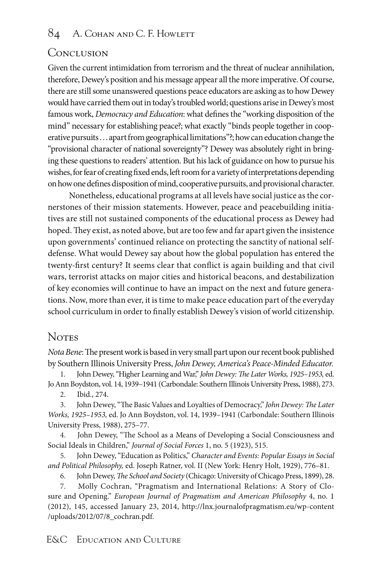## Conclusion

Given the current intimidation from terrorism and the threat of nuclear annihilation, therefore, Dewey's position and his message appear all the more imperative. Of course, there are still some unanswered questions peace educators are asking as to how Dewey would have carried them out in today's troubled world; questions arise in Dewey's most famous work, *Democracy and Education*: what defines the "working disposition of the mind" necessary for establishing peace?; what exactly "binds people together in cooperative pursuits . . . apart from geographical limitations"?; how can education change the "provisional character of national sovereignty"? Dewey was absolutely right in bringing these questions to readers' attention. But his lack of guidance on how to pursue his wishes, for fear of creating fixed ends, left room for a variety of interpretations depending on how one defines disposition of mind, cooperative pursuits, and provisional character.

Nonetheless, educational programs at all levels have social justice as the cornerstones of their mission statements. However, peace and peacebuilding initiatives are still not sustained components of the educational process as Dewey had hoped. They exist, as noted above, but are too few and far apart given the insistence upon governments' continued reliance on protecting the sanctity of national selfdefense. What would Dewey say about how the global population has entered the twenty-first century? It seems clear that conflict is again building and that civil wars, terrorist attacks on major cities and historical beacons, and destabilization of key economies will continue to have an impact on the next and future generations. Now, more than ever, it is time to make peace education part of the everyday school curriculum in order to finally establish Dewey's vision of world citizenship.

## **Notes**

*Nota Bene*: The present work is based in very small part upon our recent book published by Southern Illinois University Press, *John Dewey, America's Peace-Minded Educator.* 

1. John Dewey, "Higher Learning and War," *John Dewey: The Later Works, 1925–1953,* ed. Jo Ann Boydston, vol. 14, 1939–1941 (Carbondale: Southern Illinois University Press, 1988), 273.

2. Ibid., 274.

3. John Dewey, "The Basic Values and Loyalties of Democracy," *John Dewey: The Later Works, 1925–1953,* ed. Jo Ann Boydston, vol. 14, 1939–1941 (Carbondale: Southern Illinois University Press, 1988), 275–77.

4. John Dewey, "The School as a Means of Developing a Social Consciousness and Social Ideals in Children," *Journal of Social Forces* 1, no. 5 (1923), 515.

5. John Dewey, "Education as Politics," *Character and Events: Popular Essays in Social and Political Philosophy,* ed. Joseph Ratner, vol. II (New York: Henry Holt, 1929), 776–81.

6. John Dewey, *The School and Society* (Chicago: University of Chicago Press, 1899), 28. 7. Molly Cochran, "Pragmatism and International Relations: A Story of Closure and Opening." *European Journal of Pragmatism and American Philosophy* 4, no. 1 (2012), 145, accessed January 23, 2014, http://lnx.journalofpragmatism.eu/wp-content /uploads/2012/07/8\_cochran.pdf.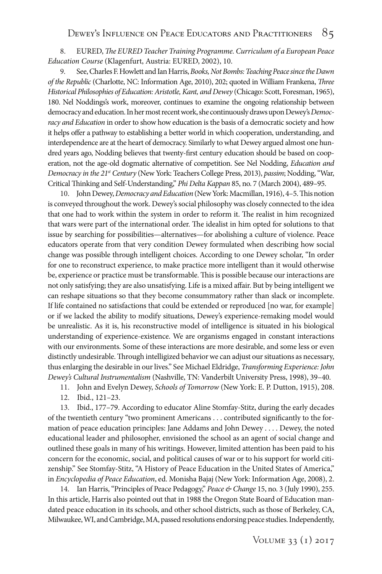8. EURED, *The EURED Teacher Training Programme. Curriculum of a European Peace Education Course* (Klagenfurt, Austria: EURED, 2002), 10.

9. See, Charles F. Howlett and Ian Harris, *Books, Not Bombs: Teaching Peace since the Dawn of the Republic* (Charlotte, NC: Information Age, 2010), 202; quoted in William Frankena, *Three Historical Philosophies of Education: Aristotle, Kant, and Dewey* (Chicago: Scott, Foresman, 1965), 180. Nel Noddings's work, moreover, continues to examine the ongoing relationship between democracy and education. In her most recent work, she continuously draws upon Dewey's *Democracy and Education* in order to show how education is the basis of a democratic society and how it helps offer a pathway to establishing a better world in which cooperation, understanding, and interdependence are at the heart of democracy. Similarly to what Dewey argued almost one hundred years ago, Nodding believes that twenty-first century education should be based on cooperation, not the age-old dogmatic alternative of competition. See Nel Nodding, *Education and Democracy in the 21st Century* (New York: Teachers College Press, 2013), *passim*; Nodding, "War, Critical Thinking and Self-Understanding," *Phi Delta Kappan* 85, no. 7 (March 2004), 489–95.

10. John Dewey, *Democracy and Education* (New York: Macmillan, 1916), 4–5. This notion is conveyed throughout the work. Dewey's social philosophy was closely connected to the idea that one had to work within the system in order to reform it. The realist in him recognized that wars were part of the international order. The idealist in him opted for solutions to that issue by searching for possibilities—alternatives—for abolishing a culture of violence. Peace educators operate from that very condition Dewey formulated when describing how social change was possible through intelligent choices. According to one Dewey scholar, "In order for one to reconstruct experience, to make practice more intelligent than it would otherwise be, experience or practice must be transformable. This is possible because our interactions are not only satisfying; they are also unsatisfying. Life is a mixed affair. But by being intelligent we can reshape situations so that they become consummatory rather than slack or incomplete. If life contained no satisfactions that could be extended or reproduced [no war, for example] or if we lacked the ability to modify situations, Dewey's experience-remaking model would be unrealistic. As it is, his reconstructive model of intelligence is situated in his biological understanding of experience-existence. We are organisms engaged in constant interactions with our environments. Some of these interactions are more desirable, and some less or even distinctly undesirable. Through intelligized behavior we can adjust our situations as necessary, thus enlarging the desirable in our lives." See Michael Eldridge, *Transforming Experience: John Dewey's Cultural Instrumentalism* (Nashville, TN: Vanderbilt University Press, 1998), 39–40.

- 11. John and Evelyn Dewey, *Schools of Tomorrow* (New York: E. P. Dutton, 1915), 208.
- 12. Ibid., 121–23.

13. Ibid., 177–79. According to educator Aline Stomfay-Stitz, during the early decades of the twentieth century "two prominent Americans . . . contributed significantly to the formation of peace education principles: Jane Addams and John Dewey . . . . Dewey, the noted educational leader and philosopher, envisioned the school as an agent of social change and outlined these goals in many of his writings. However, limited attention has been paid to his concern for the economic, social, and political causes of war or to his support for world citizenship." See Stomfay-Stitz, "A History of Peace Education in the United States of America," in *Encyclopedia of Peace Education*, ed. Monisha Bajaj (New York: Information Age, 2008), 2.

14. Ian Harris, "Principles of Peace Pedagogy," *Peace & Change* 15, no. 3 (July 1990), 255. In this article, Harris also pointed out that in 1988 the Oregon State Board of Education mandated peace education in its schools, and other school districts, such as those of Berkeley, CA, Milwaukee, WI, and Cambridge, MA, passed resolutions endorsing peace studies. Independently,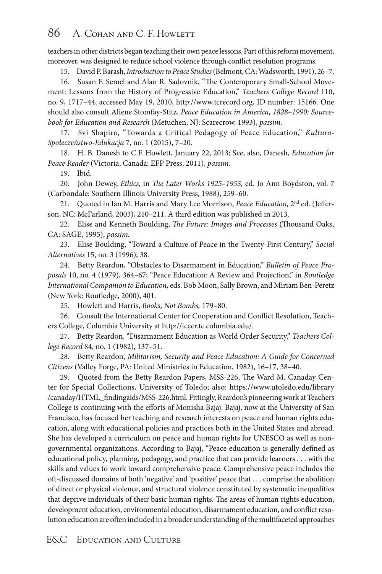#### 86 A. COHAN AND C. F. HOWLETT

teachers in other districts began teaching their own peace lessons. Part of this reform movement, moreover, was designed to reduce school violence through conflict resolution programs.

15. David P. Barash, *Introduction to Peace Studies* (Belmont, CA: Wadsworth, 1991), 26–7.

16. Susan F. Semel and Alan R. Sadovnik, "The Contemporary Small-School Movement: Lessons from the History of Progressive Education," *Teachers College Record* 110, no. 9, 1717–44, accessed May 19, 2010, http://www.tcrecord.org, ID number: 15166. One should also consult Aliene Stomfay-Stitz, *Peace Education in America, 1828–1990: Sourcebook for Education and Research* (Metuchen, NJ: Scarecrow, 1993), *passim.* 

17. Svi Shapiro, "Towards a Critical Pedagogy of Peace Education," *Kultura-Społeczeństwo-Edukacja* 7, no. 1 (2015), 7–20.

18. H. B. Danesh to C.F. Howlett, January 22, 2013; See, also, Danesh, *Education for Peace Reader* (Victoria, Canada: EFP Press, 2011), *passim.*

19. Ibid.

20. John Dewey, *Ethics,* in *The Later Works 1925–1953,* ed. Jo Ann Boydston, vol. 7 (Carbondale: Southern Illinois University Press, 1988), 259–60.

21. Quoted in Ian M. Harris and Mary Lee Morrison, *Peace Education,* 2nd ed. (Jefferson, NC: McFarland, 2003), 210–211. A third edition was published in 2013.

22. Elise and Kenneth Boulding, *The Future: Images and Processes* (Thousand Oaks, CA: SAGE, 1995), *passim.*

23. Elise Boulding, "Toward a Culture of Peace in the Twenty-First Century," *Social Alternatives* 15, no. 3 (1996), 38.

24. Betty Reardon, "Obstacles to Disarmament in Education," *Bulletin of Peace Proposals* 10, no. 4 (1979), 364–67; "Peace Education: A Review and Projection," in *Routledge International Companion to Education,* eds. Bob Moon, Sally Brown, and Miriam Ben-Peretz (New York: Routledge, 2000), 401.

25. Howlett and Harris, *Books, Not Bombs,* 179–80.

26. Consult the International Center for Cooperation and Conflict Resolution, Teachers College, Columbia University at http://icccr.tc.columbia.edu/.

27. Betty Reardon, "Disarmament Education as World Order Security," *Teachers College Record* 84, no. 1 (1982), 137–51.

28. Betty Reardon, *Militarism, Security and Peace Education: A Guide for Concerned Citizens* (Valley Forge, PA: United Ministries in Education, 1982), 16–17, 38–40.

29. Quoted from the Betty Reardon Papers, MSS-226, The Ward M. Canaday Center for Special Collections, University of Toledo; also: https://www.utoledo.edu/library /canaday/HTML\_findingaids/MSS-226.html. Fittingly, Reardon's pioneering work at Teachers College is continuing with the efforts of Monisha Bajaj. Bajaj, now at the University of San Francisco, has focused her teaching and research interests on peace and human rights education, along with educational policies and practices both in the United States and abroad. She has developed a curriculum on peace and human rights for UNESCO as well as nongovernmental organizations. According to Bajaj, "Peace education is generally defined as educational policy, planning, pedagogy, and practice that can provide learners . . . with the skills and values to work toward comprehensive peace. Comprehensive peace includes the oft-discussed domains of both 'negative' and 'positive' peace that . . . comprise the abolition of direct or physical violence, and structural violence constituted by systematic inequalities that deprive individuals of their basic human rights. The areas of human rights education, development education, environmental education, disarmament education, and conflict resolution education are often included in a broader understanding of the multifaceted approaches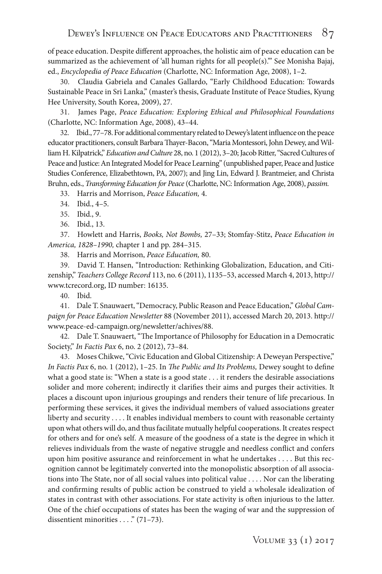of peace education. Despite different approaches, the holistic aim of peace education can be summarized as the achievement of 'all human rights for all people(s).'" See Monisha Bajaj, ed., *Encyclopedia of Peace Education* (Charlotte, NC: Information Age, 2008), 1–2.

30. Claudia Gabriela and Canales Gallardo, "Early Childhood Education: Towards Sustainable Peace in Sri Lanka," (master's thesis, Graduate Institute of Peace Studies, Kyung Hee University, South Korea, 2009), 27.

31. James Page, *Peace Education: Exploring Ethical and Philosophical Foundations* (Charlotte, NC: Information Age, 2008), 43–44.

32. Ibid., 77–78. For additional commentary related to Dewey's latent influence on the peace educator practitioners, consult Barbara Thayer-Bacon, "Maria Montessori, John Dewey, and William H. Kilpatrick," *Education and Culture* 28, no. 1 (2012), 3–20; Jacob Ritter, "Sacred Cultures of Peace and Justice: An Integrated Model for Peace Learning" (unpublished paper, Peace and Justice Studies Conference, Elizabethtown, PA, 2007); and Jing Lin, Edward J. Brantmeier, and Christa Bruhn, eds., *Transforming Education for Peace* (Charlotte, NC: Information Age, 2008), *passim.*

33. Harris and Morrison, *Peace Education,* 4.

34. Ibid., 4–5.

35. Ibid., 9.

36. Ibid., 13.

37. Howlett and Harris, *Books, Not Bombs,* 27–33; Stomfay-Stitz, *Peace Education in America, 1828–1990,* chapter 1 and pp. 284–315.

38. Harris and Morrison, *Peace Education,* 80.

39. David T. Hansen, "Introduction: Rethinking Globalization, Education, and Citizenship," *Teachers College Record* 113, no. 6 (2011), 1135–53, accessed March 4, 2013, http:// www.tcrecord.org, ID number: 16135.

40. Ibid.

41. Dale T. Snauwaert, "Democracy, Public Reason and Peace Education," *Global Campaign for Peace Education Newsletter* 88 (November 2011), accessed March 20, 2013. http:// www.peace-ed-campaign.org/newsletter/achives/88.

42. Dale T. Snauwaert, "The Importance of Philosophy for Education in a Democratic Society," *In Factis Pax* 6, no. 2 (2012), 73–84.

43. Moses Chikwe, "Civic Education and Global Citizenship: A Deweyan Perspective," *In Factis Pax* 6, no. 1 (2012), 1–25. In *The Public and Its Problems,* Dewey sought to define what a good state is: "When a state is a good state . . . it renders the desirable associations solider and more coherent; indirectly it clarifies their aims and purges their activities. It places a discount upon injurious groupings and renders their tenure of life precarious. In performing these services, it gives the individual members of valued associations greater liberty and security . . . . It enables individual members to count with reasonable certainty upon what others will do, and thus facilitate mutually helpful cooperations. It creates respect for others and for one's self. A measure of the goodness of a state is the degree in which it relieves individuals from the waste of negative struggle and needless conflict and confers upon him positive assurance and reinforcement in what he undertakes . . . . But this recognition cannot be legitimately converted into the monopolistic absorption of all associations into The State, nor of all social values into political value . . . . Nor can the liberating and confirming results of public action be construed to yield a wholesale idealization of states in contrast with other associations. For state activity is often injurious to the latter. One of the chief occupations of states has been the waging of war and the suppression of dissentient minorities . . . ." (71-73).